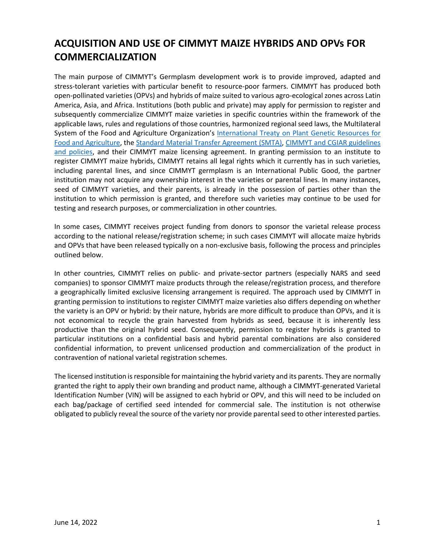# **ACQUISITION AND USE OF CIMMYT MAIZE HYBRIDS AND OPVs FOR COMMERCIALIZATION**

The main purpose of CIMMYT's Germplasm development work is to provide improved, adapted and stress-tolerant varieties with particular benefit to resource-poor farmers. CIMMYT has produced both open-pollinated varieties (OPVs) and hybrids of maize suited to various agro-ecological zones across Latin America, Asia, and Africa. Institutions (both public and private) may apply for permission to register and subsequently commercialize CIMMYT maize varieties in specific countries within the framework of the applicable laws, rules and regulations of those countries, harmonized regional seed laws, the Multilateral System of the Food and Agriculture Organization's [International Treaty on Plant Genetic Resources for](http://www.fao.org/plant-treaty/en/)  [Food and Agriculture,](http://www.fao.org/plant-treaty/en/) the [Standard Material Transfer Agreement \(SMTA\),](http://www.fao.org/3/a-bc083e.pdf) [CIMMYT and CGIAR guidelines](https://www.cimmyt.org/resources/guidelines-and-policies/)  [and policies,](https://www.cimmyt.org/resources/guidelines-and-policies/) and their CIMMYT maize licensing agreement. In granting permission to an institute to register CIMMYT maize hybrids, CIMMYT retains all legal rights which it currently has in such varieties, including parental lines, and since CIMMYT germplasm is an International Public Good, the partner institution may not acquire any ownership interest in the varieties or parental lines. In many instances, seed of CIMMYT varieties, and their parents, is already in the possession of parties other than the institution to which permission is granted, and therefore such varieties may continue to be used for testing and research purposes, or commercialization in other countries.

In some cases, CIMMYT receives project funding from donors to sponsor the varietal release process according to the national release/registration scheme; in such cases CIMMYT will allocate maize hybrids and OPVs that have been released typically on a non-exclusive basis, following the process and principles outlined below.

In other countries, CIMMYT relies on public- and private-sector partners (especially NARS and seed companies) to sponsor CIMMYT maize products through the release/registration process, and therefore a geographically limited exclusive licensing arrangement is required. The approach used by CIMMYT in granting permission to institutions to register CIMMYT maize varieties also differs depending on whether the variety is an OPV or hybrid: by their nature, hybrids are more difficult to produce than OPVs, and it is not economical to recycle the grain harvested from hybrids as seed, because it is inherently less productive than the original hybrid seed. Consequently, permission to register hybrids is granted to particular institutions on a confidential basis and hybrid parental combinations are also considered confidential information, to prevent unlicensed production and commercialization of the product in contravention of national varietal registration schemes.

The licensed institution is responsible for maintaining the hybrid variety and its parents. They are normally granted the right to apply their own branding and product name, although a CIMMYT-generated Varietal Identification Number (VIN) will be assigned to each hybrid or OPV, and this will need to be included on each bag/package of certified seed intended for commercial sale. The institution is not otherwise obligated to publicly reveal the source of the variety nor provide parental seed to other interested parties.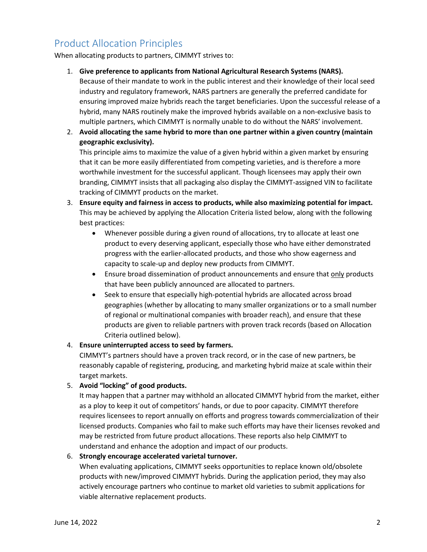# Product Allocation Principles

When allocating products to partners, CIMMYT strives to:

- 1. **Give preference to applicants from National Agricultural Research Systems (NARS).**  Because of their mandate to work in the public interest and their knowledge of their local seed industry and regulatory framework, NARS partners are generally the preferred candidate for ensuring improved maize hybrids reach the target beneficiaries. Upon the successful release of a hybrid, many NARS routinely make the improved hybrids available on a non-exclusive basis to multiple partners, which CIMMYT is normally unable to do without the NARS' involvement.
- 2. **Avoid allocating the same hybrid to more than one partner within a given country (maintain geographic exclusivity).**

This principle aims to maximize the value of a given hybrid within a given market by ensuring that it can be more easily differentiated from competing varieties, and is therefore a more worthwhile investment for the successful applicant. Though licensees may apply their own branding, CIMMYT insists that all packaging also display the CIMMYT-assigned VIN to facilitate tracking of CIMMYT products on the market.

- 3. **Ensure equity and fairness in access to products, while also maximizing potential for impact.**  This may be achieved by applying the Allocation Criteria listed below, along with the following best practices:
	- Whenever possible during a given round of allocations, try to allocate at least one product to every deserving applicant, especially those who have either demonstrated progress with the earlier-allocated products, and those who show eagerness and capacity to scale-up and deploy new products from CIMMYT.
	- Ensure broad dissemination of product announcements and ensure that only products that have been publicly announced are allocated to partners.
	- Seek to ensure that especially high-potential hybrids are allocated across broad geographies (whether by allocating to many smaller organizations or to a small number of regional or multinational companies with broader reach), and ensure that these products are given to reliable partners with proven track records (based on Allocation Criteria outlined below).

## 4. **Ensure uninterrupted access to seed by farmers.**

CIMMYT's partners should have a proven track record, or in the case of new partners, be reasonably capable of registering, producing, and marketing hybrid maize at scale within their target markets.

## 5. **Avoid "locking" of good products.**

It may happen that a partner may withhold an allocated CIMMYT hybrid from the market, either as a ploy to keep it out of competitors' hands, or due to poor capacity. CIMMYT therefore requires licensees to report annually on efforts and progress towards commercialization of their licensed products. Companies who fail to make such efforts may have their licenses revoked and may be restricted from future product allocations. These reports also help CIMMYT to understand and enhance the adoption and impact of our products.

#### 6. **Strongly encourage accelerated varietal turnover.**

When evaluating applications, CIMMYT seeks opportunities to replace known old/obsolete products with new/improved CIMMYT hybrids. During the application period, they may also actively encourage partners who continue to market old varieties to submit applications for viable alternative replacement products.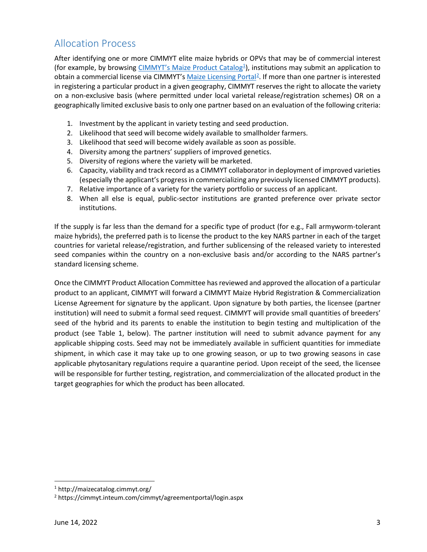# Allocation Process

After identifying one or more CIMMYT elite maize hybrids or OPVs that may be of commercial interest (for example, by browsing [CIMMYT's Maize Product Catalog](http://maizecatalog.cimmyt.org/)<sup>[1](#page-2-1)</sup>), institutions may submit an application to obtain a commercial license via CIMMYT's [Maize Licensing Portal](https://cimmyt.inteum.com/cimmyt/agreementportal/login.aspx)<sup>[2](#page-2-2)</sup>. If more than one partner is interested in registering a particular product in a given geography, CIMMYT reserves the right to allocate the variety on a non-exclusive basis (where permitted under local varietal release/registration schemes) OR on a geographically limited exclusive basis to only one partner based on an evaluation of the following criteria:

- 1. Investment by the applicant in variety testing and seed production.
- 2. Likelihood that seed will become widely available to smallholder farmers.
- 3. Likelihood that seed will become widely available as soon as possible.
- 4. Diversity among the partners' suppliers of improved genetics.
- 5. Diversity of regions where the variety will be marketed.
- 6. Capacity, viability and track record as a CIMMYT collaborator in deployment of improved varieties (especially the applicant's progress in commercializing any previously licensed CIMMYT products).
- 7. Relative importance of a variety for the variety portfolio or success of an applicant.
- 8. When all else is equal, public-sector institutions are granted preference over private sector institutions.

If the supply is far less than the demand for a specific type of product (for e.g., Fall armyworm-tolerant maize hybrids), the preferred path is to license the product to the key NARS partner in each of the target countries for varietal release/registration, and further sublicensing of the released variety to interested seed companies within the country on a non-exclusive basis and/or according to the NARS partner's standard licensing scheme.

Once the CIMMYT Product Allocation Committee has reviewed and approved the allocation of a particular product to an applicant, CIMMYT will forward a CIMMYT Maize Hybrid Registration & Commercialization License Agreement for signature by the applicant. Upon signature by both parties, the licensee (partner institution) will need to submit a formal seed request. CIMMYT will provide small quantities of breeders' seed of the hybrid and its parents to enable the institution to begin testing and multiplication of the product (see [Table 1,](#page-2-0) below). The partner institution will need to submit advance payment for any applicable shipping costs. Seed may not be immediately available in sufficient quantities for immediate shipment, in which case it may take up to one growing season, or up to two growing seasons in case applicable phytosanitary regulations require a quarantine period. Upon receipt of the seed, the licensee will be responsible for further testing, registration, and commercialization of the allocated product in the target geographies for which the product has been allocated.

<span id="page-2-1"></span><span id="page-2-0"></span><sup>1</sup> http://maizecatalog.cimmyt.org/

<span id="page-2-2"></span><sup>2</sup> https://cimmyt.inteum.com/cimmyt/agreementportal/login.aspx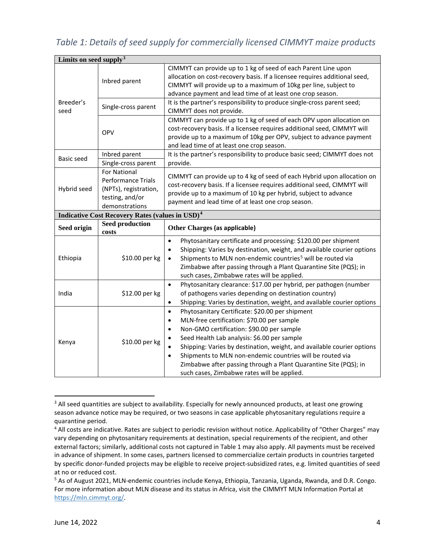*Table 1: Details of seed supply for commercially licensed CIMMYT maize products*

| Limits on seed supply <sup>3</sup>                                |                                                                                                                |                                                                                                                                                                                                                                                                                                                                                                                                                                                                                                                                   |  |
|-------------------------------------------------------------------|----------------------------------------------------------------------------------------------------------------|-----------------------------------------------------------------------------------------------------------------------------------------------------------------------------------------------------------------------------------------------------------------------------------------------------------------------------------------------------------------------------------------------------------------------------------------------------------------------------------------------------------------------------------|--|
| Breeder's<br>seed                                                 | Inbred parent                                                                                                  | CIMMYT can provide up to 1 kg of seed of each Parent Line upon<br>allocation on cost-recovery basis. If a licensee requires additional seed,<br>CIMMYT will provide up to a maximum of 10kg per line, subject to<br>advance payment and lead time of at least one crop season.                                                                                                                                                                                                                                                    |  |
|                                                                   | Single-cross parent                                                                                            | It is the partner's responsibility to produce single-cross parent seed;<br>CIMMYT does not provide.                                                                                                                                                                                                                                                                                                                                                                                                                               |  |
|                                                                   | OPV                                                                                                            | CIMMYT can provide up to 1 kg of seed of each OPV upon allocation on<br>cost-recovery basis. If a licensee requires additional seed, CIMMYT will<br>provide up to a maximum of 10kg per OPV, subject to advance payment<br>and lead time of at least one crop season.                                                                                                                                                                                                                                                             |  |
| Basic seed                                                        | Inbred parent                                                                                                  | It is the partner's responsibility to produce basic seed; CIMMYT does not                                                                                                                                                                                                                                                                                                                                                                                                                                                         |  |
|                                                                   | Single-cross parent                                                                                            | provide.                                                                                                                                                                                                                                                                                                                                                                                                                                                                                                                          |  |
| Hybrid seed                                                       | <b>For National</b><br><b>Performance Trials</b><br>(NPTs), registration,<br>testing, and/or<br>demonstrations | CIMMYT can provide up to 4 kg of seed of each Hybrid upon allocation on<br>cost-recovery basis. If a licensee requires additional seed, CIMMYT will<br>provide up to a maximum of 10 kg per hybrid, subject to advance<br>payment and lead time of at least one crop season.                                                                                                                                                                                                                                                      |  |
| <b>Indicative Cost Recovery Rates (values in USD)<sup>4</sup></b> |                                                                                                                |                                                                                                                                                                                                                                                                                                                                                                                                                                                                                                                                   |  |
| Seed origin                                                       | <b>Seed production</b><br>costs                                                                                | Other Charges (as applicable)                                                                                                                                                                                                                                                                                                                                                                                                                                                                                                     |  |
| Ethiopia                                                          | \$10.00 per kg                                                                                                 | Phytosanitary certificate and processing: \$120.00 per shipment<br>$\bullet$<br>Shipping: Varies by destination, weight, and available courier options<br>$\bullet$<br>Shipments to MLN non-endemic countries <sup>5</sup> will be routed via<br>$\bullet$<br>Zimbabwe after passing through a Plant Quarantine Site (PQS); in<br>such cases, Zimbabwe rates will be applied.                                                                                                                                                     |  |
| India                                                             | \$12.00 per kg                                                                                                 | Phytosanitary clearance: \$17.00 per hybrid, per pathogen (number<br>$\bullet$<br>of pathogens varies depending on destination country)<br>Shipping: Varies by destination, weight, and available courier options<br>$\bullet$                                                                                                                                                                                                                                                                                                    |  |
| Kenya                                                             | \$10.00 per kg                                                                                                 | Phytosanitary Certificate: \$20.00 per shipment<br>$\bullet$<br>MLN-free certification: \$70.00 per sample<br>$\bullet$<br>Non-GMO certification: \$90.00 per sample<br>$\bullet$<br>Seed Health Lab analysis: \$6.00 per sample<br>$\bullet$<br>Shipping: Varies by destination, weight, and available courier options<br>$\bullet$<br>Shipments to MLN non-endemic countries will be routed via<br>$\bullet$<br>Zimbabwe after passing through a Plant Quarantine Site (PQS); in<br>such cases, Zimbabwe rates will be applied. |  |

<span id="page-3-0"></span><sup>&</sup>lt;sup>3</sup> All seed quantities are subject to availability. Especially for newly announced products, at least one growing season advance notice may be required, or two seasons in case applicable phytosanitary regulations require a quarantine period.

<span id="page-3-1"></span><sup>&</sup>lt;sup>4</sup> All costs are indicative. Rates are subject to periodic revision without notice. Applicability of "Other Charges" may vary depending on phytosanitary requirements at destination, special requirements of the recipient, and other external factors; similarly, additional costs not captured in Table 1 may also apply. All payments must be received in advance of shipment. In some cases, partners licensed to commercialize certain products in countries targeted by specific donor-funded projects may be eligible to receive project-subsidized rates, e.g. limited quantities of seed at no or reduced cost.

<span id="page-3-2"></span><sup>5</sup> As of August 2021, MLN-endemic countries include Kenya, Ethiopia, Tanzania, Uganda, Rwanda, and D.R. Congo. For more information about MLN disease and its status in Africa, visit the CIMMYT MLN Information Portal at [https://mln.cimmyt.org/.](https://mln.cimmyt.org/)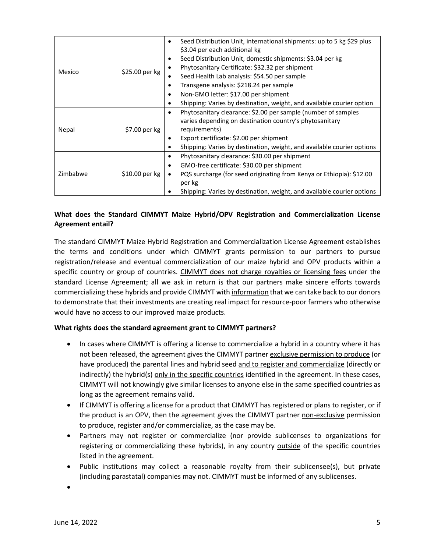| Mexico   | $$25.00$ per kg | Seed Distribution Unit, international shipments: up to 5 kg \$29 plus<br>$\bullet$<br>\$3.04 per each additional kg<br>Seed Distribution Unit, domestic shipments: \$3.04 per kg<br>٠<br>Phytosanitary Certificate: \$32.32 per shipment<br>$\bullet$<br>Seed Health Lab analysis: \$54.50 per sample<br>٠<br>Transgene analysis: \$218.24 per sample<br>$\bullet$<br>Non-GMO letter: \$17.00 per shipment<br>$\bullet$<br>Shipping: Varies by destination, weight, and available courier option<br>$\bullet$ |
|----------|-----------------|---------------------------------------------------------------------------------------------------------------------------------------------------------------------------------------------------------------------------------------------------------------------------------------------------------------------------------------------------------------------------------------------------------------------------------------------------------------------------------------------------------------|
| Nepal    | \$7.00 per kg   | Phytosanitary clearance: \$2.00 per sample (number of samples<br>$\bullet$<br>varies depending on destination country's phytosanitary<br>requirements)<br>Export certificate: \$2.00 per shipment<br>$\bullet$<br>Shipping: Varies by destination, weight, and available courier options<br>٠                                                                                                                                                                                                                 |
| Zimbabwe | $$10.00$ per kg | Phytosanitary clearance: \$30.00 per shipment<br>$\bullet$<br>GMO-free certificate: \$30.00 per shipment<br>$\bullet$<br>PQS surcharge (for seed originating from Kenya or Ethiopia): \$12.00<br>$\bullet$<br>per kg<br>Shipping: Varies by destination, weight, and available courier options                                                                                                                                                                                                                |

# **What does the Standard CIMMYT Maize Hybrid/OPV Registration and Commercialization License Agreement entail?**

The standard CIMMYT Maize Hybrid Registration and Commercialization License Agreement establishes the terms and conditions under which CIMMYT grants permission to our partners to pursue registration/release and eventual commercialization of our maize hybrid and OPV products within a specific country or group of countries. CIMMYT does not charge royalties or licensing fees under the standard License Agreement; all we ask in return is that our partners make sincere efforts towards commercializing these hybrids and provide CIMMYT with information that we can take back to our donors to demonstrate that their investments are creating real impact for resource-poor farmers who otherwise would have no access to our improved maize products.

#### **What rights does the standard agreement grant to CIMMYT partners?**

- In cases where CIMMYT is offering a license to commercialize a hybrid in a country where it has not been released, the agreement gives the CIMMYT partner exclusive permission to produce (or have produced) the parental lines and hybrid seed and to register and commercialize (directly or indirectly) the hybrid(s) only in the specific countries identified in the agreement. In these cases, CIMMYT will not knowingly give similar licenses to anyone else in the same specified countries as long as the agreement remains valid.
- If CIMMYT is offering a license for a product that CIMMYT has registered or plans to register, or if the product is an OPV, then the agreement gives the CIMMYT partner non-exclusive permission to produce, register and/or commercialize, as the case may be.
- Partners may not register or commercialize (nor provide sublicenses to organizations for registering or commercializing these hybrids), in any country outside of the specific countries listed in the agreement.
- Public institutions may collect a reasonable royalty from their sublicensee(s), but private (including parastatal) companies may not. CIMMYT must be informed of any sublicenses.

•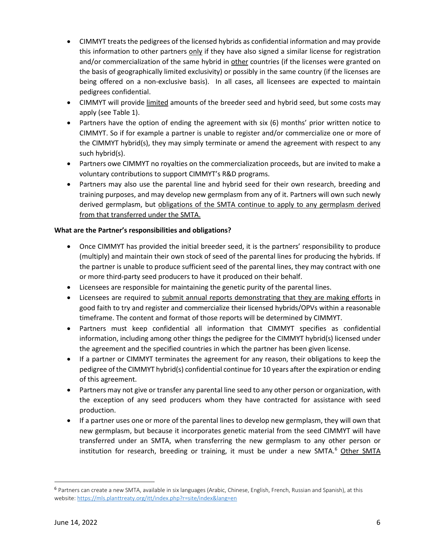- CIMMYT treats the pedigrees of the licensed hybrids as confidential information and may provide this information to other partners only if they have also signed a similar license for registration and/or commercialization of the same hybrid in other countries (if the licenses were granted on the basis of geographically limited exclusivity) or possibly in the same country (if the licenses are being offered on a non-exclusive basis). In all cases, all licensees are expected to maintain pedigrees confidential.
- CIMMYT will provide limited amounts of the breeder seed and hybrid seed, but some costs may apply (see Table 1).
- Partners have the option of ending the agreement with six (6) months' prior written notice to CIMMYT. So if for example a partner is unable to register and/or commercialize one or more of the CIMMYT hybrid(s), they may simply terminate or amend the agreement with respect to any such hybrid(s).
- Partners owe CIMMYT no royalties on the commercialization proceeds, but are invited to make a voluntary contributions to support CIMMYT's R&D programs.
- Partners may also use the parental line and hybrid seed for their own research, breeding and training purposes, and may develop new germplasm from any of it. Partners will own such newly derived germplasm, but obligations of the SMTA continue to apply to any germplasm derived from that transferred under the SMTA.

### **What are the Partner's responsibilities and obligations?**

- Once CIMMYT has provided the initial breeder seed, it is the partners' responsibility to produce (multiply) and maintain their own stock of seed of the parental lines for producing the hybrids. If the partner is unable to produce sufficient seed of the parental lines, they may contract with one or more third-party seed producers to have it produced on their behalf.
- Licensees are responsible for maintaining the genetic purity of the parental lines.
- Licensees are required to submit annual reports demonstrating that they are making efforts in good faith to try and register and commercialize their licensed hybrids/OPVs within a reasonable timeframe. The content and format of those reports will be determined by CIMMYT.
- Partners must keep confidential all information that CIMMYT specifies as confidential information, including among other things the pedigree for the CIMMYT hybrid(s) licensed under the agreement and the specified countries in which the partner has been given license.
- If a partner or CIMMYT terminates the agreement for any reason, their obligations to keep the pedigree of the CIMMYT hybrid(s) confidential continue for 10 years after the expiration or ending of this agreement.
- Partners may not give or transfer any parental line seed to any other person or organization, with the exception of any seed producers whom they have contracted for assistance with seed production.
- If a partner uses one or more of the parental lines to develop new germplasm, they will own that new germplasm, but because it incorporates genetic material from the seed CIMMYT will have transferred under an SMTA, when transferring the new germplasm to any other person or institution for research, breeding or training, it must be under a new SMTA. $6$  Other SMTA

<span id="page-5-0"></span><sup>6</sup> Partners can create a new SMTA, available in six languages (Arabic, Chinese, English, French, Russian and Spanish), at this website: https://mls.planttreaty.org/itt/index.php?r=site/index&lang=en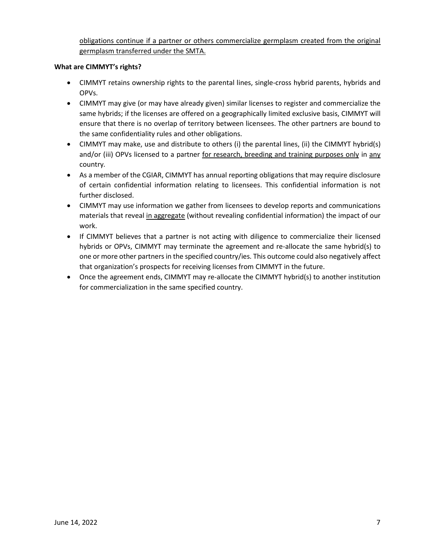obligations continue if a partner or others commercialize germplasm created from the original germplasm transferred under the SMTA.

### **What are CIMMYT's rights?**

- CIMMYT retains ownership rights to the parental lines, single-cross hybrid parents, hybrids and OPVs.
- CIMMYT may give (or may have already given) similar licenses to register and commercialize the same hybrids; if the licenses are offered on a geographically limited exclusive basis, CIMMYT will ensure that there is no overlap of territory between licensees. The other partners are bound to the same confidentiality rules and other obligations.
- CIMMYT may make, use and distribute to others (i) the parental lines, (ii) the CIMMYT hybrid(s) and/or (iii) OPVs licensed to a partner for research, breeding and training purposes only in any country*.*
- As a member of the CGIAR, CIMMYT has annual reporting obligations that may require disclosure of certain confidential information relating to licensees. This confidential information is not further disclosed.
- CIMMYT may use information we gather from licensees to develop reports and communications materials that reveal in aggregate (without revealing confidential information) the impact of our work.
- If CIMMYT believes that a partner is not acting with diligence to commercialize their licensed hybrids or OPVs, CIMMYT may terminate the agreement and re-allocate the same hybrid(s) to one or more other partners in the specified country/ies. This outcome could also negatively affect that organization's prospects for receiving licenses from CIMMYT in the future.
- Once the agreement ends, CIMMYT may re-allocate the CIMMYT hybrid(s) to another institution for commercialization in the same specified country.